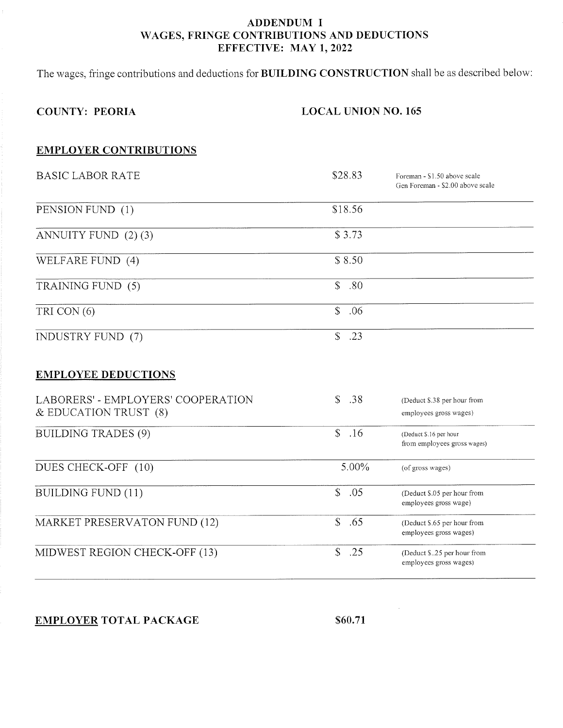### ADDENDUM I WAGES, FRINGE CONTRIBUTIONS AND DEDUCTIONS EFFECTIVE: MAY 1,2022

The wages, fringe contributions and deductions for BUILDING CONSTRUCTION shall be as described below:

# COUNTY: PEORIA

#### LOCAL UNION NO. 165

### EMPLOYER CONTRIBUTIONS

| <b>BASIC LABOR RATE</b>                                         | \$28.83             | Foreman - \$1.50 above scale<br>Gen Foreman - \$2.00 above scale |
|-----------------------------------------------------------------|---------------------|------------------------------------------------------------------|
| PENSION FUND (1)                                                | \$18.56             |                                                                  |
| ANNUITY FUND (2)(3)                                             | \$3.73              |                                                                  |
| WELFARE FUND (4)                                                | \$8.50              |                                                                  |
| TRAINING FUND (5)                                               | \$<br>.80           |                                                                  |
| TRI CON (6)                                                     | $\mathbb{S}$<br>.06 |                                                                  |
| INDUSTRY FUND (7)                                               | $\mathbb{S}$<br>.23 |                                                                  |
| <b>EMPLOYEE DEDUCTIONS</b>                                      |                     |                                                                  |
| LABORERS' - EMPLOYERS' COOPERATION<br>$&$ EDUCATION TRUST $(8)$ | \$<br>.38           | (Deduct \$.38 per hour from<br>employees gross wages)            |
| <b>BUILDING TRADES (9)</b>                                      | $\mathbb{S}$<br>.16 | (Deduct \$.16 per hour<br>from employees gross wages)            |
| DUES CHECK-OFF (10)                                             | $5.00\%$            | (of gross wages)                                                 |
| <b>BUILDING FUND (11)</b>                                       | $\mathbb{S}$<br>.05 | (Deduct \$.05 per hour from<br>employees gross wage)             |
| MARKET PRESERVATON FUND (12)                                    | \$<br>.65           | (Deduct \$.65 per hour from<br>employees gross wages)            |

MIDWEST REGION CHECK-OFF (13) \$ .25 (Deduct \$..25 per hour from

### EMPLOYER TOTAL PACKAGE \$60.71

employees gross wages)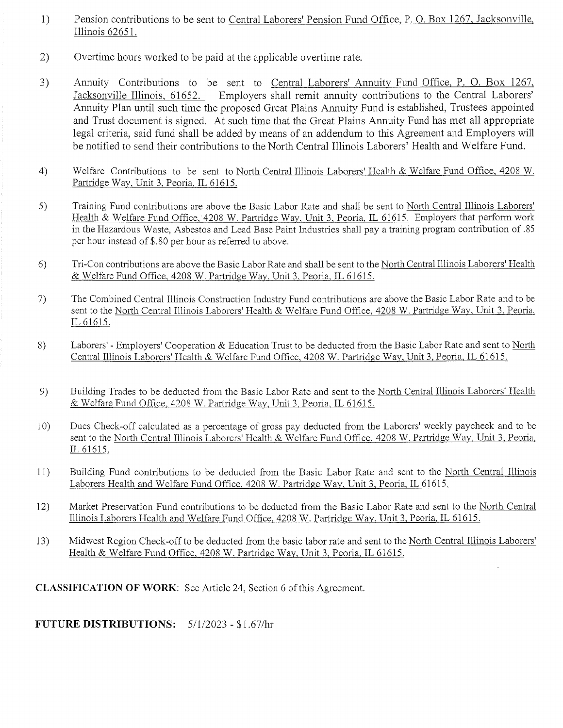- 1) Pension contributions to be sent to Central Laborers' Pension Fund Office, P. O. Box 1267, Jacksonville, Illinois 62651.
- 2) Overtime hours worked to be paid at the applicable overtime rate.
- 3) Annuity Contributions to be sent to Central Laborers' Annuity Fund Office, P. O. Box 1267, Jacksonville Illinois, 61652. Employers shall remit annuity contributions to the Central Laborers' Annuity Plan until such time the proposed Great Plains Annuity Fund is established, Trustees appointed and Trust document is signed. At such time that the Great Plains Annuity Fund has met all appropriate legal criteria, said fund shall be added by means of an addendum to this Agreement and Employers will be notified to send their contributions to the North Central Illinois Laborers' Health and Welfare Fund.
- 4) Welfare Contributions to be sent to North Central Illinois Laborers' Health & Welfare Fund Office, 4208 W. Partridge Way, Unit 3, Peoria, IL 61615.
- s) Training Fund contributions are above the Basic Labor Rate and shall be sent to North Central Illinois Laborers' Health & Welfare Fund Office. 4208 W. Partridge Way, Unit 3, Peoria, IL 61615. Employers that perform work in TheHazardous Waste, Asbestos and Lead Base Paint Industries shall pay a training program contribution of .85 per hour instead of\$.80 per hour as referred to above.
- Tri-Con contributions are above the Basic Labor Rate and shall be sent to the North Central Illinois Laborers' Health & Welfare Fund Offrce. 4208 W. Partridge Way. Unit 3. Peoria. IL 61615. 6)
- The Combined Central Illinois Construction Industry Fund contributions are above the Basic Labor Rate and to be sent to the North Central Illinois Laborers' Health & Welfare Fund Office, 4208 W. Partridge Way, Unit 3, Peoria, rL 6161s. 7)
- Laborers' Employers' Cooperation & Education Trust to be deducted from the Basic Labor Rate and sent to North Central Illinois Laborers' Health & Welfare Fund Office, 4208 W. Partridge Way, Unit 3, Peoria, IL 61615. B)
- Building Trades to be deducted from the Basic Labor Rate and sent to the North Central Illinois Laborers' Health & Welfare Fund Office, 4208 W. Partridge Way, Unit 3, Peoria, IL 61615. e)
- Dues Check-off calculated as a percentage of gross pay deducted from the Laborers' weekly paycheck and to be sent to the North Central Illinois Laborers' Health & Welfare Fund Office, 4208 W. Partridge Way, Unit 3, Peoria, IL 61615. l0)
- Building Fund contributions to be deducted from the Basic Labor Rate and sent to the North Central Illinois Laborers Health and Welfare Fund Office. 4208 W. Partridee Way. Unit 3. Peoria. IL 61615. 1t)
- Market Preservation Fund contributions to be deducted from the Basic Labor Rate and sent to the North Central Illinois Laborers Health and Welfare Fund Office, 4208 W. Partridge Way, Unit 3, Peoria, IL 61615.  $12)$
- Midwest Region Check-off to be deducted from the basic labor rate and sent to the North Central Illinois Laborers' Health & Welfare Fund Office, 4208 W. Partridge Way, Unit 3, Peoria, IL 61615. 13)

CLASSIFICATION OF WORK: See Article 24, Section 6 of this Agreement.

FUTURE DISTRIBUTIONS:  $5/1/2023 - 1.67$ /hr